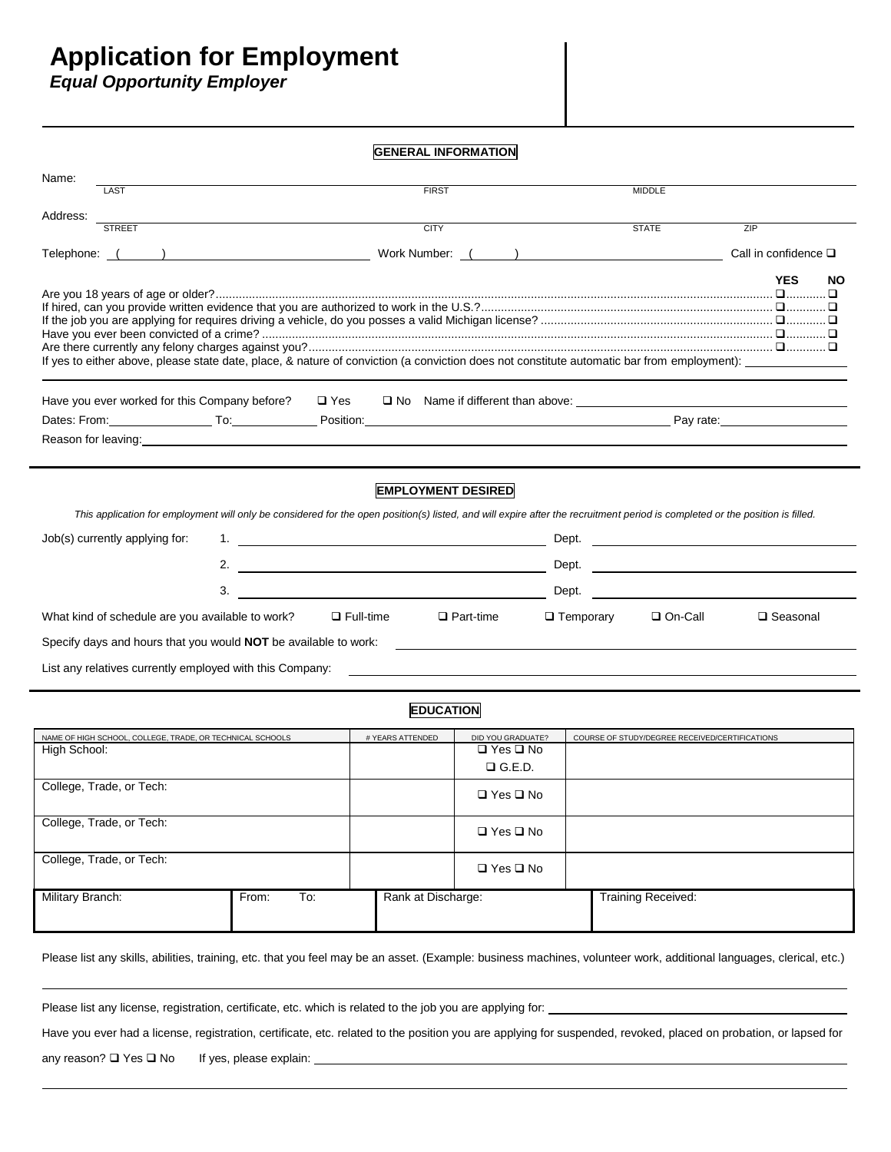## **Application for Employment**

*Equal Opportunity Employer*

| <b>GENERAL INFORMATION</b>                                                                                                                                                                                                                                                                                                                                                                                                                                                                                                                                                                                                                                                                                                                                                                                         |                    |                                                            |                                                |                              |  |  |  |
|--------------------------------------------------------------------------------------------------------------------------------------------------------------------------------------------------------------------------------------------------------------------------------------------------------------------------------------------------------------------------------------------------------------------------------------------------------------------------------------------------------------------------------------------------------------------------------------------------------------------------------------------------------------------------------------------------------------------------------------------------------------------------------------------------------------------|--------------------|------------------------------------------------------------|------------------------------------------------|------------------------------|--|--|--|
| Name:<br><b>LAST</b>                                                                                                                                                                                                                                                                                                                                                                                                                                                                                                                                                                                                                                                                                                                                                                                               | <b>FIRST</b>       |                                                            | <b>MIDDLE</b>                                  |                              |  |  |  |
| Address:                                                                                                                                                                                                                                                                                                                                                                                                                                                                                                                                                                                                                                                                                                                                                                                                           |                    |                                                            |                                                |                              |  |  |  |
| <b>STREET</b>                                                                                                                                                                                                                                                                                                                                                                                                                                                                                                                                                                                                                                                                                                                                                                                                      | <b>CITY</b>        |                                                            | <b>STATE</b>                                   | ZIP                          |  |  |  |
|                                                                                                                                                                                                                                                                                                                                                                                                                                                                                                                                                                                                                                                                                                                                                                                                                    |                    |                                                            |                                                | Call in confidence $\square$ |  |  |  |
| If yes to either above, please state date, place, & nature of conviction (a conviction does not constitute automatic bar from employment):                                                                                                                                                                                                                                                                                                                                                                                                                                                                                                                                                                                                                                                                         |                    |                                                            |                                                | <b>YES</b><br><b>NO</b>      |  |  |  |
| Have you ever worked for this Company before?<br>$\Box$ Yes                                                                                                                                                                                                                                                                                                                                                                                                                                                                                                                                                                                                                                                                                                                                                        |                    |                                                            |                                                |                              |  |  |  |
|                                                                                                                                                                                                                                                                                                                                                                                                                                                                                                                                                                                                                                                                                                                                                                                                                    |                    |                                                            |                                                |                              |  |  |  |
| Reason for leaving: the contract of the contract of the contract of the contract of the contract of the contract of the contract of the contract of the contract of the contract of the contract of the contract of the contra                                                                                                                                                                                                                                                                                                                                                                                                                                                                                                                                                                                     |                    |                                                            |                                                |                              |  |  |  |
| <b>EMPLOYMENT DESIRED</b><br>This application for employment will only be considered for the open position(s) listed, and will expire after the recruitment period is completed or the position is filled.<br>Job(s) currently applying for:<br>2.<br><u> 1989 - Johann Barbara, martin amerikan basar da</u><br><u> 1980 - Johann Barbara, martin amerikan personal (</u><br>3.<br>Dept.<br>$\Box$ Temporary<br>□ On-Call<br>What kind of schedule are you available to work?<br>$\Box$ Full-time<br>$\Box$ Part-time<br>□ Seasonal<br>Specify days and hours that you would NOT be available to work:<br><b>Specify days and hours that you would NOT</b> be available to work:<br>List any relatives currently employed with this Company:<br><u> 1990 - Johann John Stone, Amerikaansk politiker (</u> † 1902) |                    |                                                            |                                                |                              |  |  |  |
|                                                                                                                                                                                                                                                                                                                                                                                                                                                                                                                                                                                                                                                                                                                                                                                                                    | <b>EDUCATION</b>   |                                                            |                                                |                              |  |  |  |
| NAME OF HIGH SCHOOL, COLLEGE, TRADE, OR TECHNICAL SCHOOLS<br>High School:<br>College, Trade, or Tech:                                                                                                                                                                                                                                                                                                                                                                                                                                                                                                                                                                                                                                                                                                              | # YEARS ATTENDED   | DID YOU GRADUATE?<br>$\Box$ Yes $\Box$ No<br>$\Box$ G.E.D. | COURSE OF STUDY/DEGREE RECEIVED/CERTIFICATIONS |                              |  |  |  |
|                                                                                                                                                                                                                                                                                                                                                                                                                                                                                                                                                                                                                                                                                                                                                                                                                    |                    | □ Yes □ No                                                 |                                                |                              |  |  |  |
| College, Trade, or Tech:                                                                                                                                                                                                                                                                                                                                                                                                                                                                                                                                                                                                                                                                                                                                                                                           |                    | $\Box$ Yes $\Box$ No                                       |                                                |                              |  |  |  |
| College, Trade, or Tech:                                                                                                                                                                                                                                                                                                                                                                                                                                                                                                                                                                                                                                                                                                                                                                                           |                    | □ Yes □ No                                                 |                                                |                              |  |  |  |
| Military Branch:<br>To:<br>From:                                                                                                                                                                                                                                                                                                                                                                                                                                                                                                                                                                                                                                                                                                                                                                                   | Rank at Discharge: |                                                            | <b>Training Received:</b>                      |                              |  |  |  |
| Please list any skills, abilities, training, etc. that you feel may be an asset. (Example: business machines, volunteer work, additional languages, clerical, etc.)                                                                                                                                                                                                                                                                                                                                                                                                                                                                                                                                                                                                                                                |                    |                                                            |                                                |                              |  |  |  |
| Please list any license, registration, certificate, etc. which is related to the job you are applying for:                                                                                                                                                                                                                                                                                                                                                                                                                                                                                                                                                                                                                                                                                                         |                    |                                                            |                                                |                              |  |  |  |

Have you ever had a license, registration, certificate, etc. related to the position you are applying for suspended, revoked, placed on probation, or lapsed for

any reason?  $\Box$  Yes  $\Box$  No If yes, please explain: